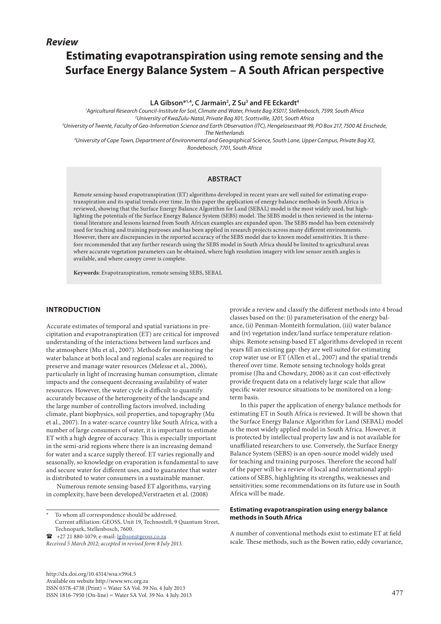# **Estimating evapotranspiration using remote sensing and the Surface Energy Balance System – A South African perspective**

LA Gibson<sup>\*1,4</sup>, C Jarmain<sup>2</sup>, Z Su<sup>3</sup> and FE Eckardt<sup>4</sup>

*1 Agricultural Research Council-Institute for Soil, Climate and Water, Private Bag X5017, Stellenbosch, 7599, South Africa 2 University of KwaZulu-Natal, Private Bag X01, Scottsville, 3201, South Africa*

<sup>3</sup>University of Twente, Faculty of Geo-Information Science and Earth Observation (ITC), Hengelosestraat 99, PO Box 217, 7500 AE Enschede, *The Netherlands*

*4 University of Cape Town, Department of Environmental and Geographical Science, South Lane, Upper Campus, Private Bag X3, Rondebosch, 7701, South Africa*

#### **ABSTRACT**

Remote sensing-based evapotranspiration (ET) algorithms developed in recent years are well suited for estimating evapotranspiration and its spatial trends over time. In this paper the application of energy balance methods in South Africa is reviewed, showing that the Surface Energy Balance Algorithm for Land (SEBAL) model is the most widely used, but highlighting the potentials of the Surface Energy Balance System (SEBS) model. The SEBS model is then reviewed in the international literature and lessons learned from South African examples are expanded upon. The SEBS model has been extensively used for teaching and training purposes and has been applied in research projects across many different environments. However, there are discrepancies in the reported accuracy of the SEBS model due to known model sensitivities. It is therefore recommended that any further research using the SEBS model in South Africa should be limited to agricultural areas where accurate vegetation parameters can be obtained, where high resolution imagery with low sensor zenith angles is available, and where canopy cover is complete.

**Keywords**: Evapotranspiration, remote sensing SEBS, SEBAL

## **INTRODUCTION**

Accurate estimates of temporal and spatial variations in precipitation and evapotranspiration (ET) are critical for improved understanding of the interactions between land surfaces and the atmosphere (Mu et al., 2007). Methods for monitoring the water balance at both local and regional scales are required to preserve and manage water resources (Melesse et al., 2006), particularly in light of increasing human consumption, climate impacts and the consequent decreasing availability of water resources. However, the water cycle is difficult to quantify accurately because of the heterogeneity of the landscape and the large number of controlling factors involved, including climate, plant biophysics, soil properties, and topography (Mu et al., 2007). In a water-scarce country like South Africa, with a number of large consumers of water, it is important to estimate ET with a high degree of accuracy. This is especially important in the semi-arid regions where there is an increasing demand for water and a scarce supply thereof. ET varies regionally and seasonally, so knowledge on evaporation is fundamental to save and secure water for different uses, and to guarantee that water is distributed to water consumers in a sustainable manner.

Numerous remote sensing-based ET algorithms, varying in complexity, have been developed;Verstraeten et al. (2008)

To whom all correspondence should be addressed. Current affiliation: GEOSS, Unit 19, Technostell, 9 Quantum Street, Technopark, Stellenbosch, 7600.

 $\bullet$  +27 21 880-1079; e-mail: [lgibson@geoss.co.za](mailto:lgibson@geoss.co.za)

*Received 5 March 2012; accepted in revised form 8 July 2013.*

http://dx.doi.org/10.4314/wsa.v39i4.5 Available on website http://www.wrc.org.za ISSN 0378-4738 (Print) = Water SA Vol. 39 No. 4 July 2013 ISSN 1816-7950 (On-line) = Water SA Vol. 39 No. 4 July 2013 477

provide a review and classify the different methods into 4 broad classes based on the: (i) parameterisation of the energy balance, (ii) Penman-Monteith formulation, (iii) water balance and (iv) vegetation index/land surface temperature relationships. Remote sensing-based ET algorithms developed in recent years fill an existing gap: they are well suited for estimating crop water use or ET (Allen et al., 2007) and the spatial trends thereof over time. Remote sensing technology holds great promise (Jha and Chowdary, 2006) as it can cost-effectively provide frequent data on a relatively large scale that allow specific water resource situations to be monitored on a longterm basis.

In this paper the application of energy balance methods for estimating ET in South Africa is reviewed. It will be shown that the Surface Energy Balance Algorithm for Land (SEBAL) model is the most widely applied model in South Africa. However, it is protected by intellectual property law and is not available for unaffiliated researchers to use. Conversely, the Surface Energy Balance System (SEBS) is an open-source model widely used for teaching and training purposes. Therefore the second half of the paper will be a review of local and international applications of SEBS, highlighting its strengths, weaknesses and sensitivities; some recommendations on its future use in South Africa will be made.

#### **Estimating evapotranspiration using energy balance methods in South Africa**

A number of conventional methods exist to estimate ET at field scale. These methods, such as the Bowen ratio, eddy covariance,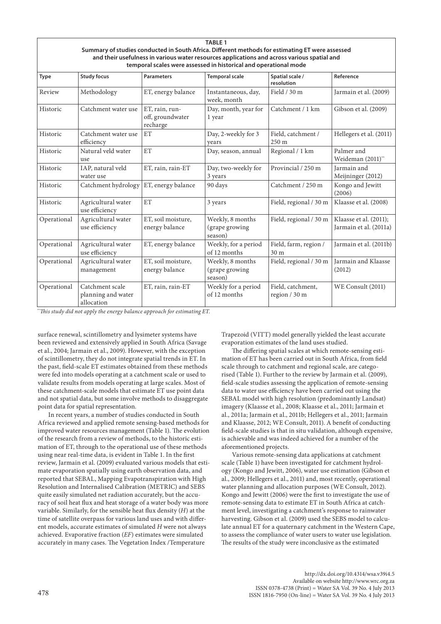| Summary of studies conducted in South Africa. Different methods for estimating ET were assessed<br>and their usefulness in various water resources applications and across various spatial and<br>temporal scales were assessed in historical and operational mode |                                                     |                                                |                                               |                                    |                                                  |  |  |  |  |
|--------------------------------------------------------------------------------------------------------------------------------------------------------------------------------------------------------------------------------------------------------------------|-----------------------------------------------------|------------------------------------------------|-----------------------------------------------|------------------------------------|--------------------------------------------------|--|--|--|--|
| <b>Type</b>                                                                                                                                                                                                                                                        | <b>Study focus</b>                                  | <b>Parameters</b>                              | <b>Temporal scale</b>                         | Spatial scale /<br>resolution      | Reference                                        |  |  |  |  |
| Review                                                                                                                                                                                                                                                             | Methodology                                         | ET, energy balance                             | Instantaneous, day,<br>week, month            | Field / 30 m                       | Jarmain et al. (2009)                            |  |  |  |  |
| Historic                                                                                                                                                                                                                                                           | Catchment water use                                 | ET, rain, run-<br>off, groundwater<br>recharge | Day, month, year for<br>1 year                | Catchment / 1 km                   | Gibson et al. (2009)                             |  |  |  |  |
| Historic                                                                                                                                                                                                                                                           | Catchment water use<br>efficiency                   | <b>ET</b>                                      | Day, 2-weekly for 3<br>vears                  | Field, catchment /<br>250 m        | Hellegers et al. (2011)                          |  |  |  |  |
| Historic                                                                                                                                                                                                                                                           | Natural veld water<br>use                           | ET                                             | Day, season, annual                           | Regional / 1 km                    | Palmer and<br>Weideman (2011)**                  |  |  |  |  |
| Historic                                                                                                                                                                                                                                                           | IAP, natural veld<br>water use                      | ET, rain, rain-ET                              | Day, two-weekly for<br>3 years                | Provincial / 250 m                 | Jarmain and<br>Meijninger (2012)                 |  |  |  |  |
| Historic                                                                                                                                                                                                                                                           | Catchment hydrology                                 | ET, energy balance                             | 90 days                                       | Catchment / 250 m                  | Kongo and Jewitt<br>(2006)                       |  |  |  |  |
| Historic                                                                                                                                                                                                                                                           | Agricultural water<br>use efficiency                | <b>ET</b>                                      | 3 years                                       | Field, regional / 30 m             | Klaasse et al. (2008)                            |  |  |  |  |
| Operational                                                                                                                                                                                                                                                        | Agricultural water<br>use efficiency                | ET, soil moisture,<br>energy balance           | Weekly, 8 months<br>(grape growing<br>season) | Field, regional / 30 m             | Klaasse et al. (2011);<br>Jarmain et al. (2011a) |  |  |  |  |
| Operational                                                                                                                                                                                                                                                        | Agricultural water<br>use efficiency                | ET, energy balance                             | Weekly, for a period<br>of 12 months          | Field, farm, region /<br>30 m      | Jarmain et al. (2011b)                           |  |  |  |  |
| Operational                                                                                                                                                                                                                                                        | Agricultural water<br>management                    | ET, soil moisture,<br>energy balance           | Weekly, 8 months<br>(grape growing<br>season) | Field, regional / 30 m             | Jarmain and Klaasse<br>(2012)                    |  |  |  |  |
| Operational                                                                                                                                                                                                                                                        | Catchment scale<br>planning and water<br>allocation | ET, rain, rain-ET                              | Weekly for a period<br>of 12 months           | Field, catchment,<br>region / 30 m | WE Consult (2011)                                |  |  |  |  |

**TABLE 1**

*\*\*This study did not apply the energy balance approach for estimating ET.*

surface renewal, scintillometry and lysimeter systems have been reviewed and extensively applied in South Africa (Savage et al., 2004; Jarmain et al., 2009). However, with the exception of scintillometry, they do not integrate spatial trends in ET. In the past, field-scale ET estimates obtained from these methods were fed into models operating at a catchment scale or used to validate results from models operating at large scales. Most of these catchment-scale models that estimate ET use point data and not spatial data, but some involve methods to disaggregate point data for spatial representation.

In recent years, a number of studies conducted in South Africa reviewed and applied remote sensing-based methods for improved water resources management (Table 1). The evolution of the research from a review of methods, to the historic estimation of ET, through to the operational use of these methods using near real-time data, is evident in Table 1. In the first review, Jarmain et al. (2009) evaluated various models that estimate evaporation spatially using earth observation data, and reported that SEBAL, Mapping Evapotranspiration with High Resolution and Internalised Calibration (METRIC) and SEBS quite easily simulated net radiation accurately, but the accuracy of soil heat flux and heat storage of a water body was more variable. Similarly, for the sensible heat flux density (*H*) at the time of satellite overpass for various land uses and with different models, accurate estimates of simulated *H* were not always achieved. Evaporative fraction (*EF*) estimates were simulated accurately in many cases. The Vegetation Index /Temperature

Trapezoid (VITT) model generally yielded the least accurate evaporation estimates of the land uses studied.

The differing spatial scales at which remote-sensing estimation of ET has been carried out in South Africa, from field scale through to catchment and regional scale, are categorised (Table 1). Further to the review by Jarmain et al. (2009), field-scale studies assessing the application of remote-sensing data to water use efficiency have been carried out using the SEBAL model with high resolution (predominantly Landsat) imagery (Klaasse et al., 2008; Klaasse et al., 2011; Jarmain et al., 2011a; Jarmain et al., 2011b; Hellegers et al., 2011; Jarmain and Klaasse, 2012; WE Consult, 2011). A benefit of conducting field-scale studies is that in situ validation, although expensive, is achievable and was indeed achieved for a number of the aforementioned projects.

Various remote-sensing data applications at catchment scale (Table 1) have been investigated for catchment hydrology (Kongo and Jewitt, 2006), water use estimation (Gibson et al., 2009; Hellegers et al., 2011) and, most recently, operational water planning and allocation purposes (WE Consult, 2012). Kongo and Jewitt (2006) were the first to investigate the use of remote-sensing data to estimate ET in South Africa at catchment level, investigating a catchment's response to rainwater harvesting. Gibson et al. (2009) used the SEBS model to calculate annual ET for a quaternary catchment in the Western Cape, to assess the compliance of water users to water use legislation. The results of the study were inconclusive as the estimated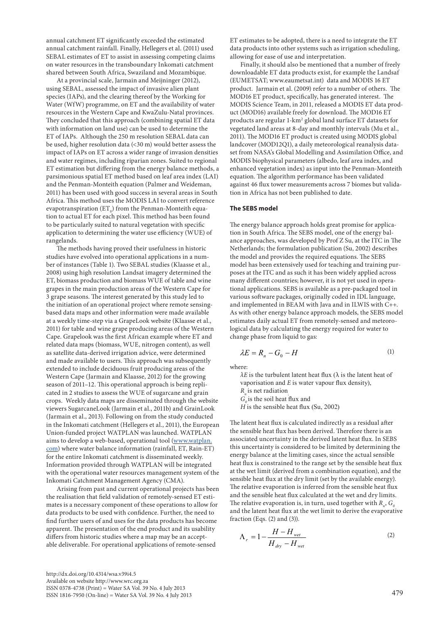annual catchment ET significantly exceeded the estimated annual catchment rainfall. Finally, Hellegers et al. (2011) used SEBAL estimates of ET to assist in assessing competing claims on water resources in the transboundary Inkomati catchment shared between South Africa, Swaziland and Mozambique.

At a provincial scale, Jarmain and Meijninger (2012), using SEBAL, assessed the impact of invasive alien plant species (IAPs), and the clearing thereof by the Working for Water (WfW) programme, on ET and the availability of water resources in the Western Cape and KwaZulu-Natal provinces. They concluded that this approach (combining spatial ET data with information on land use) can be used to determine the ET of IAPs. Although the 250 m resolution SEBAL data can be used, higher resolution data (<30 m) would better assess the impact of IAPs on ET across a wider range of invasion densities and water regimes, including riparian zones. Suited to regional ET estimation but differing from the energy balance methods, a parsimonious spatial ET method based on leaf area index (LAI) and the Penman-Monteith equation (Palmer and Weideman, 2011) has been used with good success in several areas in South Africa. This method uses the MODIS LAI to convert reference evapotranspiration  $\left( \Epsilon T _{_{0}} \right)$  from the Penman-Monteith equation to actual ET for each pixel. This method has been found to be particularly suited to natural vegetation with specific application to determining the water use efficiency (WUE) of rangelands.

The methods having proved their usefulness in historic studies have evolved into operational applications in a number of instances (Table 1). Two SEBAL studies (Klaasse et al., 2008) using high resolution Landsat imagery determined the ET, biomass production and biomass WUE of table and wine grapes in the main production areas of the Western Cape for 3 grape seasons. The interest generated by this study led to the initiation of an operational project where remote sensingbased data maps and other information were made available at a weekly time-step via a GrapeLook website (Klaasse et al., 2011) for table and wine grape producing areas of the Western Cape. Grapelook was the first African example where ET and related data maps (biomass, WUE, nitrogen content), as well as satellite data-derived irrigation advice, were determined and made available to users. This approach was subsequently extended to include deciduous fruit producing areas of the Western Cape (Jarmain and Klaasse, 2012) for the growing season of 2011–12. This operational approach is being replicated in 2 studies to assess the WUE of sugarcane and grain crops. Weekly data maps are disseminated through the website viewers SugarcaneLook (Jarmain et al., 2011b) and GrainLook (Jarmain et al., 2013). Following on from the study conducted in the Inkomati catchment (Hellegers et al., 2011), the European Union-funded project WATPLAN was launched. WATPLAN aims to develop a web-based, operational tool [\(www.watplan.](http://www.watplan.com) [com\)](http://www.watplan.com) where water balance information (rainfall, ET, Rain-ET) for the entire Inkomati catchment is disseminated weekly. Information provided through WATPLAN will be integrated with the operational water resources management system of the Inkomati Catchment Management Agency (CMA).

Arising from past and current operational projects has been the realisation that field validation of remotely-sensed ET estimates is a necessary component of these operations to allow for data products to be used with confidence. Further, the need to find further users of and uses for the data products has become apparent. The presentation of the end product and its usability differs from historic studies where a map may be an acceptable deliverable. For operational applications of remote-sensed

ET estimates to be adopted, there is a need to integrate the ET data products into other systems such as irrigation scheduling, allowing for ease of use and interpretation.

Finally, it should also be mentioned that a number of freely downloadable ET data products exist, for example the Landsaf (EUMETSAT; www.eaumetsat.int) data and MODIS 16 ET product. Jarmain et al. (2009) refer to a number of others. The MOD16 ET product, specifically, has generated interest. The MODIS Science Team, in 2011, released a MODIS ET data product (MOD16) available freely for download. The MOD16 ET products are regular 1-km<sup>2</sup> global land surface ET datasets for vegetated land areas at 8-day and monthly intervals (Mu et al., 2011). The MOD16 ET product is created using MODIS global landcover (MOD12Q1), a daily meteorological reanalysis dataset from NASA's Global Modelling and Assimilation Office, and MODIS biophysical parameters (albedo, leaf area index, and enhanced vegetation index) as input into the Penman-Monteith equation. The algorithm performance has been validated against 46 flux tower measurements across 7 biomes but validation in Africa has not been published to date.

#### **The SEBS model**

The energy balance approach holds great promise for application in South Africa. The SEBS model, one of the energy balance approaches, was developed by Prof Z Su, at the ITC in The Netherlands; the formulation publication (Su, 2002) describes the model and provides the required equations. The SEBS model has been extensively used for teaching and training purposes at the ITC and as such it has been widely applied across many different countries; however, it is not yet used in operational applications. SEBS is available as a pre-packaged tool in various software packages, originally coded in IDL language, and implemented in BEAM with Java and in ILWIS with C++. As with other energy balance approach models, the SEBS model estimates daily actual ET from remotely-sensed and meteorological data by calculating the energy required for water to change phase from liquid to gas:

$$
\lambda E = R_n - G_0 - H \tag{1}
$$

where:

 $\lambda E$  is the turbulent latent heat flux ( $\lambda$  is the latent heat of vaporisation and *E* is water vapour flux density), *R*<sub>i</sub> is net radiation *G*<sub>o</sub> is the soil heat flux and *H* is the sensible heat flux (Su, 2002)

The latent heat flux is calculated indirectly as a residual after the sensible heat flux has been derived. Therefore there is an associated uncertainty in the derived latent heat flux. In SEBS this uncertainty is considered to be limited by determining the energy balance at the limiting cases, since the actual sensible heat flux is constrained to the range set by the sensible heat flux at the wet limit (derived from a combination equation), and the sensible heat flux at the dry limit (set by the available energy). The relative evaporation is inferred from the sensible heat flux and the sensible heat flux calculated at the wet and dry limits. The relative evaporation is, in turn, used together with  $R_{n}$ ,  $G_{\sigma}$ and the latent heat flux at the wet limit to derive the evaporative fraction (Eqs. (2) and (3)).

$$
\Lambda_r = 1 - \frac{H - H_{\text{wet}}}{H_{\text{dry}} - H_{\text{wet}}}
$$
\n<sup>(2)</sup>

http://dx.doi.org/10.4314/wsa.v39i4.5 Available on website http://www.wrc.org.za ISSN 0378-4738 (Print) = Water SA Vol. 39 No. 4 July 2013 ISSN 1816-7950 (On-line) = Water SA Vol. 39 No. 4 July 2013 479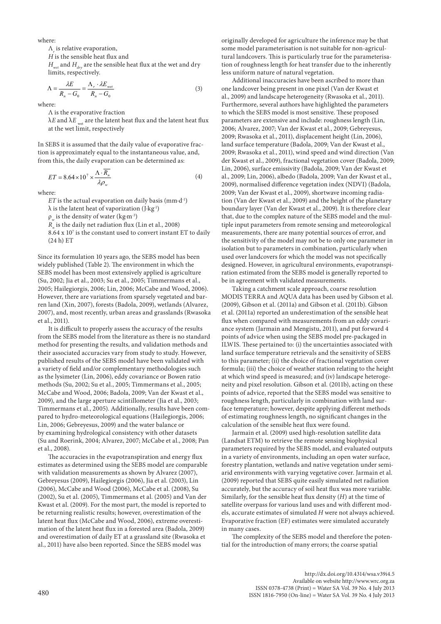where:

Λ*r* is relative evaporation,

*H* is the sensible heat flux and

*H<sub>wet</sub>* and *H<sub>dry</sub>* are the sensible heat flux at the wet and dry limits, respectively.

$$
\Lambda = \frac{\lambda E}{R_n - G_0} = \frac{\Lambda_r \cdot \lambda E_{\text{wet}}}{R_n - G_0} \tag{3}
$$

where:

Λ is the evaporative fraction

 $\lambda E$  and  $\lambda E$ <sub>wet</sub> are the latent heat flux and the latent heat flux at the wet limit, respectively

In SEBS it is assumed that the daily value of evaporative fraction is approximately equal to the instantaneous value, and, from this, the daily evaporation can be determined as:

$$
ET = 8.64 \times 10^7 \times \frac{\Lambda \cdot R_n}{\lambda \rho_w} \tag{4}
$$

where:

*ET* is the actual evaporation on daily basis (mm⋅d<sup>-1</sup>)

λ is the latent heat of vaporization (J∙kg-1)

ρ*w* is the density of water (kg∙m-3)

*Rn* is the daily net radiation flux (Lin et al., 2008)

 $8.64 \times 10^7$  is the constant used to convert instant ET to daily (24 h) ET

Since its formulation 10 years ago, the SEBS model has been widely published (Table 2). The environment in which the SEBS model has been most extensively applied is agriculture (Su, 2002; Jia et al., 2003; Su et al., 2005; Timmermans et al., 2005; Hailegiorgis, 2006; Lin, 2006; McCabe and Wood, 2006). However, there are variations from sparsely vegetated and barren land (Xin, 2007), forests (Badola, 2009), wetlands (Alvarez, 2007), and, most recently, urban areas and grasslands (Rwasoka et al., 2011).

It is difficult to properly assess the accuracy of the results from the SEBS model from the literature as there is no standard method for presenting the results, and validation methods and their associated accuracies vary from study to study. However, published results of the SEBS model have been validated with a variety of field and/or complementary methodologies such as the lysimeter (Lin, 2006), eddy covariance or Bowen ratio methods (Su, 2002; Su et al., 2005; Timmermans et al., 2005; McCabe and Wood, 2006; Badola, 2009; Van der Kwast et al., 2009), and the large aperture scintillometer (Jia et al., 2003; Timmermans et al., 2005). Additionally, results have been compared to hydro-meteorological equations (Hailegiorgis, 2006; Lin, 2006; Gebreyesus, 2009) and the water balance or by examining hydrological consistency with other datasets (Su and Roerink, 2004; Alvarez, 2007; McCabe et al., 2008; Pan et al., 2008).

The accuracies in the evapotranspiration and energy flux estimates as determined using the SEBS model are comparable with validation measurements as shown by Alvarez (2007), Gebreyesus (2009), Hailegiorgis (2006), Jia et al. (2003), Lin (2006), McCabe and Wood (2006), McCabe et al. (2008), Su (2002), Su et al. (2005), Timmermans et al. (2005) and Van der Kwast et al. (2009). For the most part, the model is reported to be returning realistic results; however, overestimation of the latent heat flux (McCabe and Wood, 2006), extreme overestimation of the latent heat flux in a forested area (Badola, 2009) and overestimation of daily ET at a grassland site (Rwasoka et al., 2011) have also been reported. Since the SEBS model was

originally developed for agriculture the inference may be that some model parameterisation is not suitable for non-agricultural landcovers. This is particularly true for the parameterisation of roughness length for heat transfer due to the inherently less uniform nature of natural vegetation.

Additional inaccuracies have been ascribed to more than one landcover being present in one pixel (Van der Kwast et al., 2009) and landscape heterogeneity (Rwasoka et al., 2011). Furthermore, several authors have highlighted the parameters to which the SEBS model is most sensitive. These proposed parameters are extensive and include: roughness length (Lin, 2006; Alvarez, 2007; Van der Kwast et al., 2009; Gebreyesus, 2009; Rwasoka et al., 2011), displacement height (Lin, 2006), land surface temperature (Badola, 2009; Van der Kwast et al., 2009; Rwasoka et al., 2011), wind speed and wind direction (Van der Kwast et al., 2009), fractional vegetation cover (Badola, 2009; Lin, 2006), surface emissivity (Badola, 2009; Van der Kwast et al., 2009; Lin, 2006), albedo (Badola, 2009; Van der Kwast et al., 2009), normalised difference vegetation index (NDVI) (Badola, 2009; Van der Kwast et al., 2009), shortwave incoming radiation (Van der Kwast et al., 2009) and the height of the planetary boundary layer (Van der Kwast et al., 2009). It is therefore clear that, due to the complex nature of the SEBS model and the multiple input parameters from remote sensing and meteorological measurements, there are many potential sources of error, and the sensitivity of the model may not be to only one parameter in isolation but to parameters in combination, particularly when used over landcovers for which the model was not specifically designed. However, in agricultural environments, evapotranspiration estimated from the SEBS model is generally reported to be in agreement with validated measurements.

Taking a catchment scale approach, coarse resolution MODIS TERRA and AQUA data has been used by Gibson et al. (2009), Gibson et al. (2011a) and Gibson et al. (2011b). Gibson et al. (2011a) reported an underestimation of the sensible heat flux when compared with measurements from an eddy covariance system (Jarmain and Mengistu, 2011), and put forward 4 points of advice when using the SEBS model pre-packaged in ILWIS. These pertained to: (i) the uncertainties associated with land surface temperature retrievals and the sensitivity of SEBS to this parameter; (ii) the choice of fractional vegetation cover formula; (iii) the choice of weather station relating to the height at which wind speed is measured; and (iv) landscape heterogeneity and pixel resolution. Gibson et al. (2011b), acting on these points of advice, reported that the SEBS model was sensitive to roughness length, particularly in combination with land surface temperature; however, despite applying different methods of estimating roughness length, no significant changes in the calculation of the sensible heat flux were found.

Jarmain et al. (2009) used high-resolution satellite data (Landsat ETM) to retrieve the remote sensing biophysical parameters required by the SEBS model, and evaluated outputs in a variety of environments, including an open water surface, forestry plantation, wetlands and native vegetation under semiarid environments with varying vegetative cover. Jarmain et al. (2009) reported that SEBS quite easily simulated net radiation accurately, but the accuracy of soil heat flux was more variable. Similarly, for the sensible heat flux density (*H*) at the time of satellite overpass for various land uses and with different models, accurate estimates of simulated *H* were not always achieved. Evaporative fraction (EF) estimates were simulated accurately in many cases.

The complexity of the SEBS model and therefore the potential for the introduction of many errors; the coarse spatial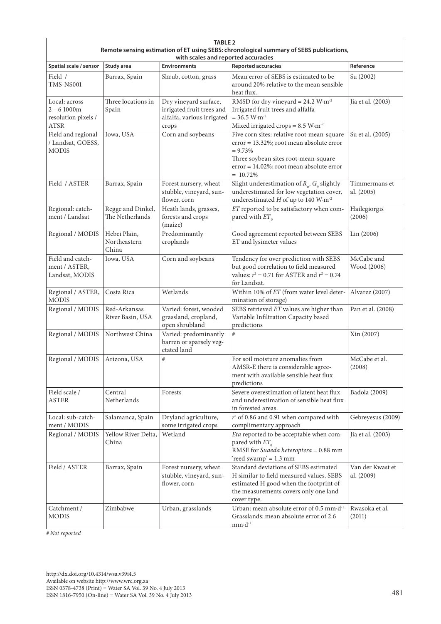| <b>TABLE 2</b>                                                                                                                 |                              |                                                  |                                                                                                |                                |  |  |  |  |
|--------------------------------------------------------------------------------------------------------------------------------|------------------------------|--------------------------------------------------|------------------------------------------------------------------------------------------------|--------------------------------|--|--|--|--|
| Remote sensing estimation of ET using SEBS: chronological summary of SEBS publications,<br>with scales and reported accuracies |                              |                                                  |                                                                                                |                                |  |  |  |  |
| Spatial scale / sensor                                                                                                         | Study area                   | <b>Environments</b>                              | <b>Reported accuracies</b>                                                                     | Reference                      |  |  |  |  |
| Field /                                                                                                                        | Barrax, Spain                | Shrub, cotton, grass                             | Mean error of SEBS is estimated to be                                                          | Su (2002)                      |  |  |  |  |
| <b>TMS-NS001</b>                                                                                                               |                              |                                                  | around 20% relative to the mean sensible                                                       |                                |  |  |  |  |
| Local: across                                                                                                                  | Three locations in           | Dry vineyard surface,                            | heat flux.<br>RMSD for dry vineyard = $24.2$ W·m <sup>-2</sup>                                 |                                |  |  |  |  |
| $2 - 61000m$                                                                                                                   | Spain                        | irrigated fruit trees and                        | Irrigated fruit trees and alfalfa                                                              | Jia et al. (2003)              |  |  |  |  |
| resolution pixels /                                                                                                            |                              | alfalfa, various irrigated                       | $= 36.5 W·m-2$                                                                                 |                                |  |  |  |  |
| ATSR                                                                                                                           |                              | crops                                            | Mixed irrigated crops = $8.5 W·m-2$                                                            |                                |  |  |  |  |
| Field and regional                                                                                                             | Iowa, USA                    | Corn and soybeans                                | Five corn sites: relative root-mean-square                                                     | Su et al. (2005)               |  |  |  |  |
| / Landsat, GOESS,<br><b>MODIS</b>                                                                                              |                              |                                                  | $error = 13.32\%$ ; root mean absolute error<br>$= 9.73%$                                      |                                |  |  |  |  |
|                                                                                                                                |                              |                                                  | Three soybean sites root-mean-square                                                           |                                |  |  |  |  |
|                                                                                                                                |                              |                                                  | error = 14.02%; root mean absolute error                                                       |                                |  |  |  |  |
|                                                                                                                                |                              |                                                  | $= 10.72%$                                                                                     |                                |  |  |  |  |
| Field / ASTER                                                                                                                  | Barrax, Spain                | Forest nursery, wheat                            | Slight underestimation of $R_n$ , $G_0$ slightly<br>underestimated for low vegetation cover,   | Timmermans et<br>al. (2005)    |  |  |  |  |
|                                                                                                                                |                              | stubble, vineyard, sun-<br>flower, corn          | underestimated $H$ of up to 140 W·m <sup>-2</sup>                                              |                                |  |  |  |  |
| Regional: catch-                                                                                                               | Regge and Dinkel,            | Heath lands, grasses,                            | ET reported to be satisfactory when com-                                                       | Hailegiorgis                   |  |  |  |  |
| ment / Landsat                                                                                                                 | The Netherlands              | forests and crops                                | pared with $ETo$                                                                               | (2006)                         |  |  |  |  |
|                                                                                                                                |                              | (maize)                                          |                                                                                                |                                |  |  |  |  |
| Regional / MODIS                                                                                                               | Hebei Plain,<br>Northeastern | Predominantly<br>croplands                       | Good agreement reported between SEBS<br>ET and lysimeter values                                | Lin(2006)                      |  |  |  |  |
|                                                                                                                                | China                        |                                                  |                                                                                                |                                |  |  |  |  |
| Field and catch-                                                                                                               | Iowa, USA                    | Corn and soybeans                                | Tendency for over prediction with SEBS                                                         | McCabe and                     |  |  |  |  |
| ment / ASTER,                                                                                                                  |                              |                                                  | but good correlation to field measured                                                         | Wood (2006)                    |  |  |  |  |
| Landsat, MODIS                                                                                                                 |                              |                                                  | values: $r^2 = 0.71$ for ASTER and $r^2 = 0.74$<br>for Landsat.                                |                                |  |  |  |  |
| Regional / ASTER,                                                                                                              | Costa Rica                   | Wetlands                                         | Within 10% of ET (from water level deter-                                                      | Alvarez (2007)                 |  |  |  |  |
| <b>MODIS</b>                                                                                                                   |                              |                                                  | mination of storage)                                                                           |                                |  |  |  |  |
| Regional / MODIS                                                                                                               | Red-Arkansas                 | Varied: forest, wooded                           | SEBS retrieved ET values are higher than                                                       | Pan et al. (2008)              |  |  |  |  |
|                                                                                                                                | River Basin, USA             | grassland, cropland,                             | Variable Infiltration Capacity based                                                           |                                |  |  |  |  |
| Regional / MODIS                                                                                                               | Northwest China              | open shrubland<br>Varied: predominantly          | predictions<br>$\#$                                                                            | Xin (2007)                     |  |  |  |  |
|                                                                                                                                |                              | barren or sparsely veg-                          |                                                                                                |                                |  |  |  |  |
|                                                                                                                                |                              | etated land                                      |                                                                                                |                                |  |  |  |  |
| Regional / MODIS                                                                                                               | Arizona, USA                 | $\#$                                             | For soil moisture anomalies from                                                               | McCabe et al.                  |  |  |  |  |
|                                                                                                                                |                              |                                                  | AMSR-E there is considerable agree-<br>ment with available sensible heat flux                  | (2008)                         |  |  |  |  |
|                                                                                                                                |                              |                                                  | predictions                                                                                    |                                |  |  |  |  |
| Field scale /                                                                                                                  | Central                      | Forests                                          | Severe overestimation of latent heat flux                                                      | Badola (2009)                  |  |  |  |  |
| <b>ASTER</b>                                                                                                                   | Netherlands                  |                                                  | and underestimation of sensible heat flux                                                      |                                |  |  |  |  |
|                                                                                                                                |                              |                                                  | in forested areas.                                                                             |                                |  |  |  |  |
| Local: sub-catch-<br>ment / MODIS                                                                                              | Salamanca, Spain             | Dryland agriculture,<br>some irrigated crops     | $r^2$ of 0.86 and 0.91 when compared with<br>complimentary approach                            | Gebreyesus (2009)              |  |  |  |  |
| Regional / MODIS                                                                                                               | Yellow River Delta,          | Wetland                                          | Eta reported to be acceptable when com-                                                        | Jia et al. (2003)              |  |  |  |  |
|                                                                                                                                | China                        |                                                  | pared with $ET_{0}$                                                                            |                                |  |  |  |  |
|                                                                                                                                |                              |                                                  | RMSE for Suaeda heteroptera = 0.88 mm                                                          |                                |  |  |  |  |
|                                                                                                                                |                              |                                                  | 'reed swamp' = $1.3$ mm                                                                        |                                |  |  |  |  |
| Field / ASTER                                                                                                                  | Barrax, Spain                | Forest nursery, wheat<br>stubble, vineyard, sun- | Standard deviations of SEBS estimated<br>H similar to field measured values. SEBS              | Van der Kwast et<br>al. (2009) |  |  |  |  |
|                                                                                                                                |                              | flower, corn                                     | estimated H good when the footprint of                                                         |                                |  |  |  |  |
|                                                                                                                                |                              |                                                  | the measurements covers only one land                                                          |                                |  |  |  |  |
|                                                                                                                                |                              |                                                  | cover type.                                                                                    |                                |  |  |  |  |
| Catchment /<br><b>MODIS</b>                                                                                                    | Zimbabwe                     | Urban, grasslands                                | Urban: mean absolute error of 0.5 mm·d <sup>-1</sup><br>Grasslands: mean absolute error of 2.6 | Rwasoka et al.<br>(2011)       |  |  |  |  |
|                                                                                                                                |                              |                                                  | $mm \cdot d^{-1}$                                                                              |                                |  |  |  |  |

*# Not reported*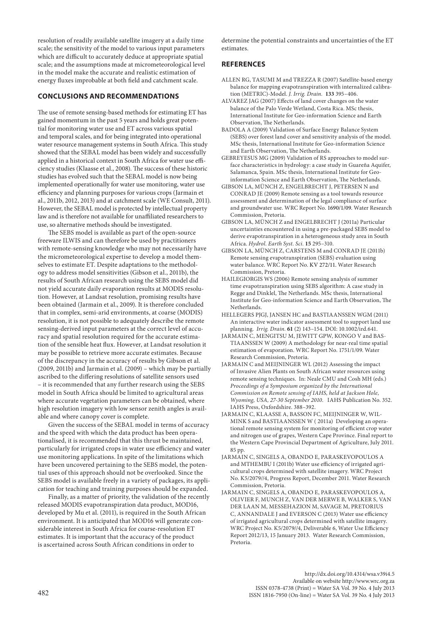resolution of readily available satellite imagery at a daily time scale; the sensitivity of the model to various input parameters which are difficult to accurately deduce at appropriate spatial scale; and the assumptions made at micrometeorological level in the model make the accurate and realistic estimation of energy fluxes improbable at both field and catchment scale.

# **CONCLUSIONS AND RECOMMENDATIONS**

The use of remote sensing-based methods for estimating ET has gained momentum in the past 5 years and holds great potential for monitoring water use and ET across various spatial and temporal scales, and for being integrated into operational water resource management systems in South Africa. This study showed that the SEBAL model has been widely and successfully applied in a historical context in South Africa for water use efficiency studies (Klaasse et al., 2008). The success of these historic studies has evolved such that the SEBAL model is now being implemented operationally for water use monitoring, water use efficiency and planning purposes for various crops (Jarmain et al., 2011b, 2012, 2013) and at catchment scale (WE Consult, 2011). However, the SEBAL model is protected by intellectual property law and is therefore not available for unaffiliated researchers to use, so alternative methods should be investigated.

The SEBS model is available as part of the open-source freeware ILWIS and can therefore be used by practitioners with remote-sensing knowledge who may not necessarily have the micrometeorological expertise to develop a model themselves to estimate ET. Despite adaptations to the methodology to address model sensitivities (Gibson et al., 2011b), the results of South African research using the SEBS model did not yield accurate daily evaporation results at MODIS resolution. However, at Landsat resolution, promising results have been obtained (Jarmain et al., 2009). It is therefore concluded that in complex, semi-arid environments, at coarse (MODIS) resolution, it is not possible to adequately describe the remote sensing-derived input parameters at the correct level of accuracy and spatial resolution required for the accurate estimation of the sensible heat flux. However, at Landsat resolution it may be possible to retrieve more accurate estimates. Because of the discrepancy in the accuracy of results by Gibson et al. (2009, 2011b) and Jarmain et al. (2009) – which may be partially ascribed to the differing resolutions of satellite sensors used – it is recommended that any further research using the SEBS model in South Africa should be limited to agricultural areas where accurate vegetation parameters can be obtained, where high resolution imagery with low sensor zenith angles is available and where canopy cover is complete.

Given the success of the SEBAL model in terms of accuracy and the speed with which the data product has been operationalised, it is recommended that this thrust be maintained, particularly for irrigated crops in water use efficiency and water use monitoring applications. In spite of the limitations which have been uncovered pertaining to the SEBS model, the potential uses of this approach should not be overlooked. Since the SEBS model is available freely in a variety of packages, its application for teaching and training purposes should be expanded.

Finally, as a matter of priority, the validation of the recently released MODIS evapotranspiration data product, MOD16, developed by Mu et al. (2011), is required in the South African environment. It is anticipated that MOD16 will generate considerable interest in South Africa for coarse-resolution ET estimates. It is important that the accuracy of the product is ascertained across South African conditions in order to

determine the potential constraints and uncertainties of the ET estimates.

## **REFERENCES**

- ALLEN RG, TASUMI M and TREZZA R (2007) Satellite-based energy balance for mapping evapotranspiration with internalized calibration (METRIC)-Model. *J. Irrig. Drain.* **133** 395–406.
- ALVAREZ JAG (2007) Effects of land cover changes on the water balance of the Palo Verde Wetland, Costa Rica. MSc thesis, International Institute for Geo-information Science and Earth Observation, The Netherlands.
- BADOLA A (2009) Validation of Surface Energy Balance System (SEBS) over forest land cover and sensitivity analysis of the model. MSc thesis, International Institute for Geo-information Science and Earth Observation, The Netherlands.
- GEBREYESUS MG (2009) Validation of RS approaches to model surface characteristics in hydrology: a case study in Guareña Aquifer, Salamanca, Spain. MSc thesis, International Institute for Geoinformation Science and Earth Observation, The Netherlands.
- GIBSON LA, MÜNCH Z, ENGELBRECHT J, PETERSEN N and CONRAD JE (2009) Remote sensing as a tool towards resource assessment and determination of the legal compliance of surface and groundwater use. WRC Report No. 1690/1/09. Water Research Commission, Pretoria.
- GIBSON LA, MÜNCH Z and ENGELBRECHT J (2011a) Particular uncertainties encountered in using a pre-packaged SEBS model to derive evapotranspiration in a heterogeneous study area in South Africa. *Hydrol. Earth Syst. Sci.* **15** 295–310.
- GIBSON LA, MÜNCH Z, CARSTENS M and CONRAD JE (2011b) Remote sensing evapotranspiration (SEBS) evaluation using water balance. WRC Report No. KV 272/11. Water Research Commission, Pretoria.
- HAILEGIORGIS WS (2006) Remote sensing analysis of summer time evapotranspiration using SEBS algorithm: A case study in Regge and Dinklel, The Netherlands. MSc thesis, International Institute for Geo-information Science and Earth Observation, The Netherlands.
- HELLEGERS PJGJ, JANSEN HC and BASTIAANSSEN WGM (2011) An interactive water indicator assessment tool to support land use planning. *Irrig. Drain.* **61** (2) 143–154. DOI: 10.1002/ird.641.
- JARMAIN C, MENGITSU M, JEWITT GPW, KONGO V and BAS-TIAANSSEN W (2009) A methodology for near-real time spatial estimation of evaporation. WRC Report No. 1751/1/09. Water Research Commission, Pretoria.
- JARMAIN C and MEIJNINGER WL (2012) Assessing the impact of Invasive Alien Plants on South African water resources using remote sensing techniques. In: Neale CMU and Cosh MH (eds.) *Proceedings of a Symposium organized by the International Commission on Remote sensing of IAHS, held at Jackson Hole, Wyoming, USA, 27-30 September 2010*. IAHS Publication No. 352. IAHS Press, Oxfordshire. 388–392.
- JARMAIN C, KLAASSE A, BASSON FC, MEIJNINGER W, WIL-MINK S and BASTIAANSSEN W ( 2011a) Developing an operational remote sensing system for monitoring of efficient crop water and nitrogen use of grapes, Western Cape Province. Final report to the Western Cape Provincial Department of Agriculture, July 2011. 85 pp.
- JARMAIN C, SINGELS A, OBANDO E, PARASKEVOPOULOS A and MTHEMBU I (2011b) Water use efficiency of irrigated agricultural crops determined with satellite imagery. WRC Project No. K5/2079//4, Progress Report, December 2011. Water Research Commission, Pretoria.
- JARMAIN C, SINGELS A, OBANDO E, PARASKEVOPOULOS A, OLIVIER F, MUNCH Z, VAN DER MERWE B, WALKER S, VAN DER LAAN M, MESSEHAZION M, SAVAGE M, PRETORIUS C, ANNANDALE J and EVERSON C (2013) Water use efficiency of irrigated agricultural crops determined with satellite imagery. WRC Project No. K5/2079//4, Deliverable 6, Water Use Efficiency Report 2012/13, 15 January 2013. Water Research Commission, Pretoria.

http://dx.doi.org/10.4314/wsa.v39i4.5 Available on website http://www.wrc.org.za ISSN 0378-4738 (Print) = Water SA Vol. 39 No. 4 July 2013  $482$ <br>ISSN 1816-7950 (On-line) = Water SA Vol. 39 No. 4 July 2013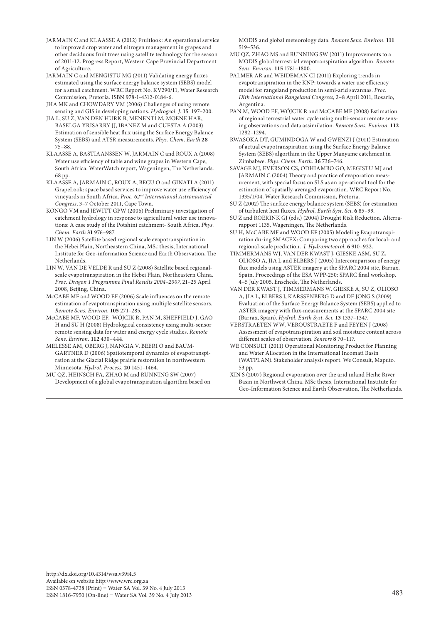JARMAIN C and KLAASSE A (2012) Fruitlook: An operational service to improved crop water and nitrogen management in grapes and other deciduous fruit trees using satellite technology for the season of 2011-12. Progress Report, Western Cape Provincial Department of Agriculture.

JARMAIN C and MENGISTU MG (2011) Validating energy fluxes estimated using the surface energy balance system (SEBS) model for a small catchment. WRC Report No. KV290/11, Water Research Commission, Pretoria. ISBN 978-1-4312-0184-6.

JHA MK and CHOWDARY VM (2006) Challenges of using remote sensing and GIS in developing nations. *Hydrogeol. J*. **15** 197–200.

JIA L, SU Z, VAN DEN HURK B, MENENTI M, MOENE HAR, BASELGA YRISARRY JJ, IBANEZ M and CUESTA A (2003) Estimation of sensible heat flux using the Surface Energy Balance System (SEBS) and ATSR measurements. *Phys. Chem. Earth* **28** 75–88.

KLAASSE A, BASTIAANSSEN W, JARMAIN C and ROUX A (2008) Water use efficiency of table and wine grapes in Western Cape, South Africa. WaterWatch report, Wageningen, The Netherlands. 68 pp.

KLAASSE A, JARMAIN C, ROUX A, BECU O and GINATI A (2011) GrapeLook: space based services to improve water use efficiency of vineyards in South Africa. *Proc. 62nd International Astronautical Congress*, 3–7 October 2011, Cape Town.

KONGO VM and JEWITT GPW (2006) Preliminary investigation of catchment hydrology in response to agricultural water use innovations: A case study of the Potshini catchment- South Africa. *Phys. Chem. Earth* **31** 976–987.

LIN W (2006) Satellite based regional scale evapotranspiration in the Hebei Plain, Northeastern China, MSc thesis, International Institute for Geo-information Science and Earth Observation, The Netherlands.

LIN W, VAN DE VELDE R and SU Z (2008) Satellite based regionalscale evapotranspiration in the Hebei Plain, Northeastern China. *Proc. Dragon 1 Programme Final Results 2004–2007*, 21–25 April 2008, Beijing, China.

McCABE MF and WOOD EF (2006) Scale influences on the remote estimation of evapotranspiration using multiple satellite sensors. *Remote Sens. Environ.* **105** 271–285.

McCABE MF, WOOD EF, WÓJCIK R, PAN M, SHEFFIELD J, GAO H and SU H (2008) Hydrological consistency using multi-sensor remote sensing data for water and energy cycle studies. *Remote Sens. Environ.* **112** 430–444.

MELESSE AM, OBERG J, NANGIA V, BEERI O and BAUM-GARTNER D (2006) Spatiotemporal dynamics of evapotranspiration at the Glacial Ridge prairie restoration in northwestern Minnesota. *Hydrol. Process.* **20** 1451–1464.

MU QZ, HEINSCH FA, ZHAO M and RUNNING SW (2007) Development of a global evapotranspiration algorithm based on MODIS and global meteorology data. *Remote Sens. Environ.* **111** 519–536.

MU QZ, ZHAO MS and RUNNING SW (2011) Improvements to a MODIS global terrestrial evapotranspiration algorithm. *Remote Sens. Environ.* **115** 1781–1800.

PALMER AR and WEIDEMAN CI (2011) Exploring trends in evapotranspiration in the KNP: towards a water use efficiency model for rangeland production in semi-arid savannas. *Proc. IXth International Rangeland Congress*, 2–8 April 2011, Rosario, Argentina.

PAN M, WOOD EF, WÓJCIK R and McCABE MF (2008) Estimation of regional terrestrial water cycle using multi-sensor remote sensing observations and data assimilation. *Remote Sens. Environ.* **112** 1282–1294.

RWASOKA DT, GUMINDOGA W and GWENZI J (2011) Estimation of actual evapotranspiration using the Surface Energy Balance System (SEBS) algorthim in the Upper Manyame catchment in Zimbabwe. *Phys. Chem. Earth*. **36** 736–746.

SAVAGE MJ, EVERSON CS, ODHIAMBO GO, MEGISTU MJ and JARMAIN C (2004) Theory and practice of evaporation measurement, with special focus on SLS as an operational tool for the estimation of spatially-averaged evaporation. WRC Report No. 1335/1/04. Water Research Commission, Pretoria.

SU Z (2002) The surface energy balance system (SEBS) for estimation of turbulent heat fluxes. *Hydrol. Earth Syst. Sci.* **6** 85–99.

SU Z and ROERINK GJ (eds.) (2004) Drought Risk Reduction. Alterrarapport 1135, Wageningen, The Netherlands.

SU H, McCABE MF and WOOD EF (2005) Modeling Evapotranspiration during SMACEX: Comparing two approaches for local- and regional-scale prediction. *J. Hydrometeorol.* **6** 910–922.

TIMMERMANS WJ, VAN DER KWAST J, GIESKE ASM, SU Z, OLIOSO A, JIA L and ELBERS J (2005) Intercomparison of energy flux models using ASTER imagery at the SPARC 2004 site, Barrax, Spain. Proceedings of the ESA WPP-250: SPARC final workshop, 4–5 July 2005, Enschede, The Netherlands.

VAN DER KWAST J, TIMMERMANS W, GIESKE A, SU Z, OLIOSO A, JIA L, ELBERS J, KARSSENBERG D and DE JONG S (2009) Evaluation of the Surface Energy Balance System (SEBS) applied to ASTER imagery with flux-measurements at the SPARC 2004 site (Barrax, Spain). *Hydrol. Earth Syst. Sci.* **13** 1337–1347.

VERSTRAETEN WW, VEROUSTRAETE F and FEYEN J (2008) Assessment of evapotranspiration and soil moisture content across different scales of observation. *Sensors* **8** 70–117.

WE CONSULT (2011) Operational Monitoring Product for Planning and Water Allocation in the International Incomati Basin (WATPLAN). Stakeholder analysis report. We Consult, Maputo. 53 pp.

XIN S (2007) Regional evaporation over the arid inland Heihe River Basin in Northwest China. MSc thesis, International Institute for Geo-Information Science and Earth Observation, The Netherlands.